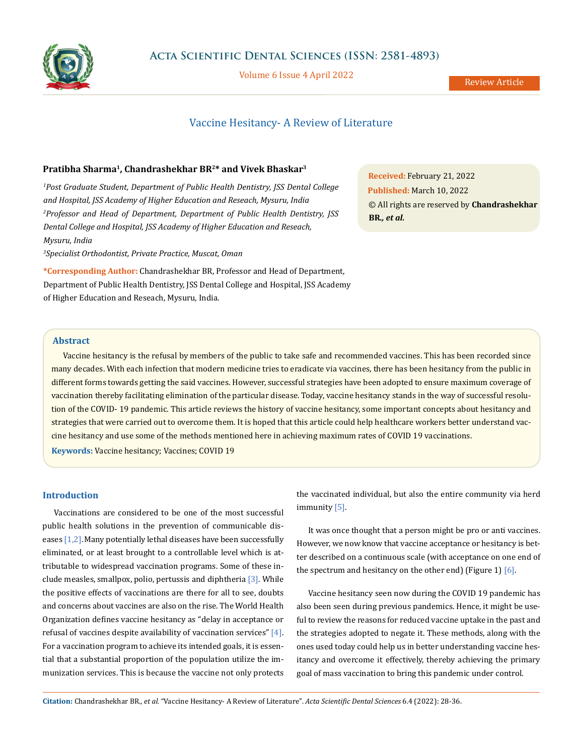

Volume 6 Issue 4 April 2022

# Vaccine Hesitancy- A Review of Literature

## **Pratibha Sharma1, Chandrashekhar BR2\* and Vivek Bhaskar3**

*1 Post Graduate Student, Department of Public Health Dentistry, JSS Dental College and Hospital, JSS Academy of Higher Education and Reseach, Mysuru, India 2 Professor and Head of Department, Department of Public Health Dentistry, JSS Dental College and Hospital, JSS Academy of Higher Education and Reseach, Mysuru, India*

*3 Specialist Orthodontist, Private Practice, Muscat, Oman*

**\*Corresponding Author:** Chandrashekhar BR, Professor and Head of Department, Department of Public Health Dentistry, JSS Dental College and Hospital, JSS Academy of Higher Education and Reseach, Mysuru, India.

**Received:** February 21, 2022 **Published:** March 10, 2022 © All rights are reserved by **Chandrashekhar BR***., et al.*

## **Abstract**

Vaccine hesitancy is the refusal by members of the public to take safe and recommended vaccines. This has been recorded since many decades. With each infection that modern medicine tries to eradicate via vaccines, there has been hesitancy from the public in different forms towards getting the said vaccines. However, successful strategies have been adopted to ensure maximum coverage of vaccination thereby facilitating elimination of the particular disease. Today, vaccine hesitancy stands in the way of successful resolution of the COVID- 19 pandemic. This article reviews the history of vaccine hesitancy, some important concepts about hesitancy and strategies that were carried out to overcome them. It is hoped that this article could help healthcare workers better understand vaccine hesitancy and use some of the methods mentioned here in achieving maximum rates of COVID 19 vaccinations.

**Keywords:** Vaccine hesitancy; Vaccines; COVID 19

## **Introduction**

Vaccinations are considered to be one of the most successful public health solutions in the prevention of communicable diseases  $[1,2]$ . Many potentially lethal diseases have been successfully eliminated, or at least brought to a controllable level which is attributable to widespread vaccination programs. Some of these include measles, smallpox, polio, pertussis and diphtheria [3]. While the positive effects of vaccinations are there for all to see, doubts and concerns about vaccines are also on the rise. The World Health Organization defines vaccine hesitancy as "delay in acceptance or refusal of vaccines despite availability of vaccination services"  $[4]$ . For a vaccination program to achieve its intended goals, it is essential that a substantial proportion of the population utilize the immunization services. This is because the vaccine not only protects the vaccinated individual, but also the entire community via herd immunity [5].

It was once thought that a person might be pro or anti vaccines. However, we now know that vaccine acceptance or hesitancy is better described on a continuous scale (with acceptance on one end of the spectrum and hesitancy on the other end) (Figure 1) [6].

Vaccine hesitancy seen now during the COVID 19 pandemic has also been seen during previous pandemics. Hence, it might be useful to review the reasons for reduced vaccine uptake in the past and the strategies adopted to negate it. These methods, along with the ones used today could help us in better understanding vaccine hesitancy and overcome it effectively, thereby achieving the primary goal of mass vaccination to bring this pandemic under control.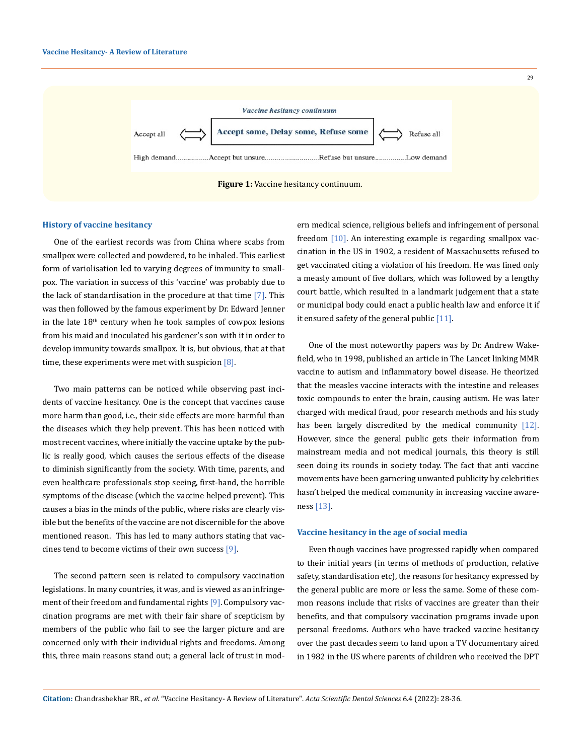

## **History of vaccine hesitancy**

One of the earliest records was from China where scabs from smallpox were collected and powdered, to be inhaled. This earliest form of variolisation led to varying degrees of immunity to smallpox. The variation in success of this 'vaccine' was probably due to the lack of standardisation in the procedure at that time  $[7]$ . This was then followed by the famous experiment by Dr. Edward Jenner in the late  $18<sup>th</sup>$  century when he took samples of cowpox lesions from his maid and inoculated his gardener's son with it in order to develop immunity towards smallpox. It is, but obvious, that at that time, these experiments were met with suspicion  $[8]$ .

Two main patterns can be noticed while observing past incidents of vaccine hesitancy. One is the concept that vaccines cause more harm than good, i.e., their side effects are more harmful than the diseases which they help prevent. This has been noticed with most recent vaccines, where initially the vaccine uptake by the public is really good, which causes the serious effects of the disease to diminish significantly from the society. With time, parents, and even healthcare professionals stop seeing, first-hand, the horrible symptoms of the disease (which the vaccine helped prevent). This causes a bias in the minds of the public, where risks are clearly visible but the benefits of the vaccine are not discernible for the above mentioned reason. This has led to many authors stating that vaccines tend to become victims of their own success [9].

The second pattern seen is related to compulsory vaccination legislations. In many countries, it was, and is viewed as an infringement of their freedom and fundamental rights [9]. Compulsory vaccination programs are met with their fair share of scepticism by members of the public who fail to see the larger picture and are concerned only with their individual rights and freedoms. Among this, three main reasons stand out; a general lack of trust in modern medical science, religious beliefs and infringement of personal freedom [10]. An interesting example is regarding smallpox vaccination in the US in 1902, a resident of Massachusetts refused to get vaccinated citing a violation of his freedom. He was fined only a measly amount of five dollars, which was followed by a lengthy court battle, which resulted in a landmark judgement that a state or municipal body could enact a public health law and enforce it if it ensured safety of the general public  $[11]$ .

One of the most noteworthy papers was by Dr. Andrew Wakefield, who in 1998, published an article in The Lancet linking MMR vaccine to autism and inflammatory bowel disease. He theorized that the measles vaccine interacts with the intestine and releases toxic compounds to enter the brain, causing autism. He was later charged with medical fraud, poor research methods and his study has been largely discredited by the medical community [12]. However, since the general public gets their information from mainstream media and not medical journals, this theory is still seen doing its rounds in society today. The fact that anti vaccine movements have been garnering unwanted publicity by celebrities hasn't helped the medical community in increasing vaccine awareness [13].

#### **Vaccine hesitancy in the age of social media**

Even though vaccines have progressed rapidly when compared to their initial years (in terms of methods of production, relative safety, standardisation etc), the reasons for hesitancy expressed by the general public are more or less the same. Some of these common reasons include that risks of vaccines are greater than their benefits, and that compulsory vaccination programs invade upon personal freedoms. Authors who have tracked vaccine hesitancy over the past decades seem to land upon a TV documentary aired in 1982 in the US where parents of children who received the DPT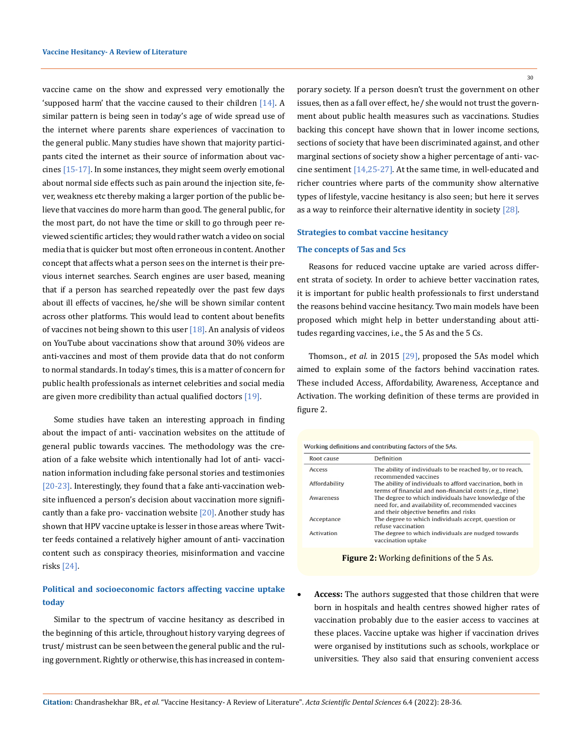vaccine came on the show and expressed very emotionally the 'supposed harm' that the vaccine caused to their children [14]. A similar pattern is being seen in today's age of wide spread use of the internet where parents share experiences of vaccination to the general public. Many studies have shown that majority participants cited the internet as their source of information about vaccines [15-17]. In some instances, they might seem overly emotional about normal side effects such as pain around the injection site, fever, weakness etc thereby making a larger portion of the public believe that vaccines do more harm than good. The general public, for the most part, do not have the time or skill to go through peer reviewed scientific articles; they would rather watch a video on social media that is quicker but most often erroneous in content. Another concept that affects what a person sees on the internet is their previous internet searches. Search engines are user based, meaning that if a person has searched repeatedly over the past few days about ill effects of vaccines, he/she will be shown similar content across other platforms. This would lead to content about benefits of vaccines not being shown to this user  $[18]$ . An analysis of videos on YouTube about vaccinations show that around 30% videos are anti-vaccines and most of them provide data that do not conform to normal standards. In today's times, this is a matter of concern for public health professionals as internet celebrities and social media are given more credibility than actual qualified doctors [19].

Some studies have taken an interesting approach in finding about the impact of anti- vaccination websites on the attitude of general public towards vaccines. The methodology was the creation of a fake website which intentionally had lot of anti- vaccination information including fake personal stories and testimonies [20-23]. Interestingly, they found that a fake anti-vaccination website influenced a person's decision about vaccination more significantly than a fake pro-vaccination website  $[20]$ . Another study has shown that HPV vaccine uptake is lesser in those areas where Twitter feeds contained a relatively higher amount of anti- vaccination content such as conspiracy theories, misinformation and vaccine risks [24].

# **Political and socioeconomic factors affecting vaccine uptake today**

Similar to the spectrum of vaccine hesitancy as described in the beginning of this article, throughout history varying degrees of trust/ mistrust can be seen between the general public and the ruling government. Rightly or otherwise, this has increased in contemporary society. If a person doesn't trust the government on other issues, then as a fall over effect, he/ she would not trust the government about public health measures such as vaccinations. Studies backing this concept have shown that in lower income sections, sections of society that have been discriminated against, and other marginal sections of society show a higher percentage of anti- vaccine sentiment [14,25-27]. At the same time, in well-educated and richer countries where parts of the community show alternative types of lifestyle, vaccine hesitancy is also seen; but here it serves as a way to reinforce their alternative identity in society [28].

#### **Strategies to combat vaccine hesitancy**

#### **The concepts of 5as and 5cs**

Reasons for reduced vaccine uptake are varied across different strata of society. In order to achieve better vaccination rates, it is important for public health professionals to first understand the reasons behind vaccine hesitancy. Two main models have been proposed which might help in better understanding about attitudes regarding vaccines, i.e., the 5 As and the 5 Cs.

Thomson., *et al.* in 2015 [29], proposed the 5As model which aimed to explain some of the factors behind vaccination rates. These included Access, Affordability, Awareness, Acceptance and Activation. The working definition of these terms are provided in figure 2.

Working definitions and contributing factors of the 5As.

| Root cause        | <b>Definition</b>                                                                                                                                      |  |  |
|-------------------|--------------------------------------------------------------------------------------------------------------------------------------------------------|--|--|
| <b>Access</b>     | The ability of individuals to be reached by, or to reach,<br>recommended vaccines                                                                      |  |  |
| Affordability     | The ability of individuals to afford vaccination, both in<br>terms of financial and non-financial costs (e.g., time)                                   |  |  |
| <b>Awareness</b>  | The degree to which individuals have knowledge of the<br>need for, and availability of, recommended vaccines<br>and their objective benefits and risks |  |  |
| Acceptance        | The degree to which individuals accept, question or<br>refuse vaccination                                                                              |  |  |
| <b>Activation</b> | The degree to which individuals are nudged towards<br>vaccination uptake                                                                               |  |  |

**Figure 2:** Working definitions of the 5 As.

Access: The authors suggested that those children that were born in hospitals and health centres showed higher rates of vaccination probably due to the easier access to vaccines at these places. Vaccine uptake was higher if vaccination drives were organised by institutions such as schools, workplace or universities. They also said that ensuring convenient access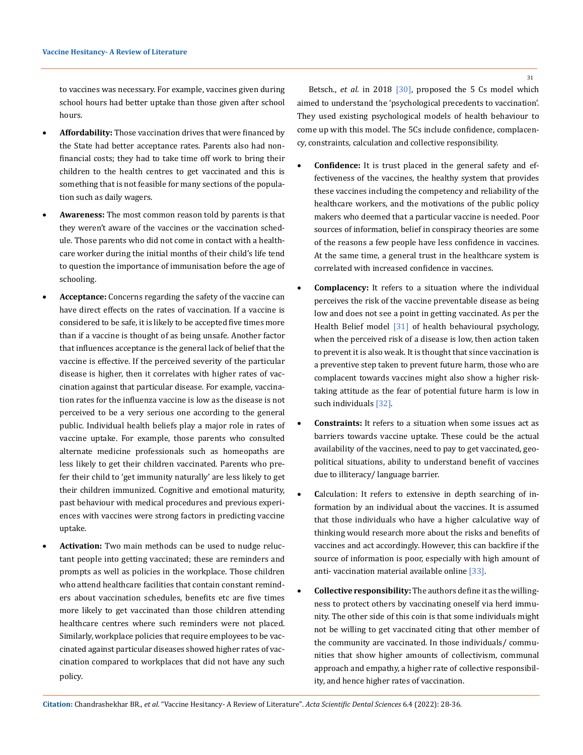to vaccines was necessary. For example, vaccines given during school hours had better uptake than those given after school hours.

- Affordability: Those vaccination drives that were financed by the State had better acceptance rates. Parents also had nonfinancial costs; they had to take time off work to bring their children to the health centres to get vaccinated and this is something that is not feasible for many sections of the population such as daily wagers.
- • **Awareness:** The most common reason told by parents is that they weren't aware of the vaccines or the vaccination schedule. Those parents who did not come in contact with a healthcare worker during the initial months of their child's life tend to question the importance of immunisation before the age of schooling.
- **Acceptance:** Concerns regarding the safety of the vaccine can have direct effects on the rates of vaccination. If a vaccine is considered to be safe, it is likely to be accepted five times more than if a vaccine is thought of as being unsafe. Another factor that influences acceptance is the general lack of belief that the vaccine is effective. If the perceived severity of the particular disease is higher, then it correlates with higher rates of vaccination against that particular disease. For example, vaccination rates for the influenza vaccine is low as the disease is not perceived to be a very serious one according to the general public. Individual health beliefs play a major role in rates of vaccine uptake. For example, those parents who consulted alternate medicine professionals such as homeopaths are less likely to get their children vaccinated. Parents who prefer their child to 'get immunity naturally' are less likely to get their children immunized. Cognitive and emotional maturity, past behaviour with medical procedures and previous experiences with vaccines were strong factors in predicting vaccine uptake.
- Activation: Two main methods can be used to nudge reluctant people into getting vaccinated; these are reminders and prompts as well as policies in the workplace. Those children who attend healthcare facilities that contain constant reminders about vaccination schedules, benefits etc are five times more likely to get vaccinated than those children attending healthcare centres where such reminders were not placed. Similarly, workplace policies that require employees to be vaccinated against particular diseases showed higher rates of vaccination compared to workplaces that did not have any such policy.

Betsch., *et al.* in 2018 [30], proposed the 5 Cs model which aimed to understand the 'psychological precedents to vaccination'. They used existing psychological models of health behaviour to come up with this model. The 5Cs include confidence, complacency, constraints, calculation and collective responsibility.

- **Confidence:** It is trust placed in the general safety and effectiveness of the vaccines, the healthy system that provides these vaccines including the competency and reliability of the healthcare workers, and the motivations of the public policy makers who deemed that a particular vaccine is needed. Poor sources of information, belief in conspiracy theories are some of the reasons a few people have less confidence in vaccines. At the same time, a general trust in the healthcare system is correlated with increased confidence in vaccines.
- • **Complacency:** It refers to a situation where the individual perceives the risk of the vaccine preventable disease as being low and does not see a point in getting vaccinated. As per the Health Belief model [31] of health behavioural psychology, when the perceived risk of a disease is low, then action taken to prevent it is also weak. It is thought that since vaccination is a preventive step taken to prevent future harm, those who are complacent towards vaccines might also show a higher risktaking attitude as the fear of potential future harm is low in such individuals [32].
- **Constraints:** It refers to a situation when some issues act as barriers towards vaccine uptake. These could be the actual availability of the vaccines, need to pay to get vaccinated, geopolitical situations, ability to understand benefit of vaccines due to illiteracy/ language barrier.
- **Calculation:** It refers to extensive in depth searching of information by an individual about the vaccines. It is assumed that those individuals who have a higher calculative way of thinking would research more about the risks and benefits of vaccines and act accordingly. However, this can backfire if the source of information is poor, especially with high amount of anti- vaccination material available online [33].
- • **Collective responsibility:** The authors define it as the willingness to protect others by vaccinating oneself via herd immunity. The other side of this coin is that some individuals might not be willing to get vaccinated citing that other member of the community are vaccinated. In those individuals/ communities that show higher amounts of collectivism, communal approach and empathy, a higher rate of collective responsibility, and hence higher rates of vaccination.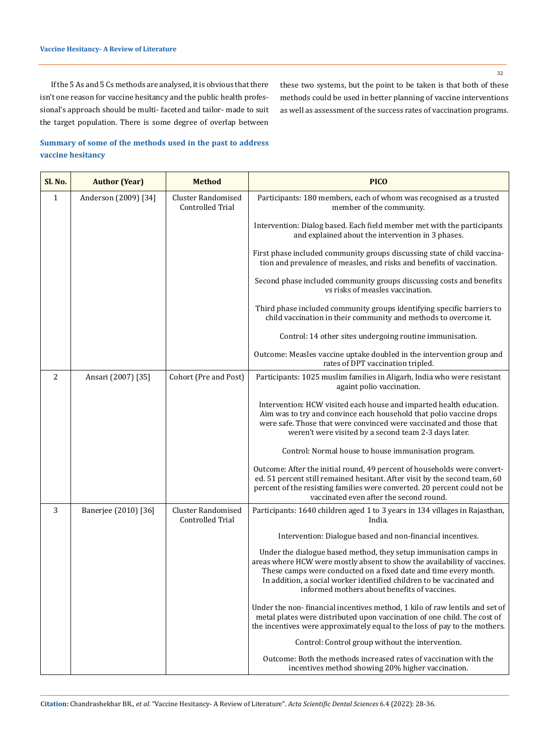32

If the 5 As and 5 Cs methods are analysed, it is obvious that there isn't one reason for vaccine hesitancy and the public health professional's approach should be multi- faceted and tailor- made to suit the target population. There is some degree of overlap between

these two systems, but the point to be taken is that both of these methods could be used in better planning of vaccine interventions as well as assessment of the success rates of vaccination programs.

## **Summary of some of the methods used in the past to address vaccine hesitancy**

| Sl. No.      | <b>Author (Year)</b> | <b>Method</b>                                        | <b>PICO</b>                                                                                                                                                                                                                                                                                                                                |
|--------------|----------------------|------------------------------------------------------|--------------------------------------------------------------------------------------------------------------------------------------------------------------------------------------------------------------------------------------------------------------------------------------------------------------------------------------------|
| $\mathbf{1}$ | Anderson (2009) [34] | <b>Cluster Randomised</b><br>Controlled Trial        | Participants: 180 members, each of whom was recognised as a trusted<br>member of the community.                                                                                                                                                                                                                                            |
|              |                      |                                                      | Intervention: Dialog based. Each field member met with the participants<br>and explained about the intervention in 3 phases.                                                                                                                                                                                                               |
|              |                      |                                                      | First phase included community groups discussing state of child vaccina-<br>tion and prevalence of measles, and risks and benefits of vaccination.                                                                                                                                                                                         |
|              |                      |                                                      | Second phase included community groups discussing costs and benefits<br>vs risks of measles vaccination.                                                                                                                                                                                                                                   |
|              |                      |                                                      | Third phase included community groups identifying specific barriers to<br>child vaccination in their community and methods to overcome it.                                                                                                                                                                                                 |
|              |                      |                                                      | Control: 14 other sites undergoing routine immunisation.                                                                                                                                                                                                                                                                                   |
|              |                      |                                                      | Outcome: Measles vaccine uptake doubled in the intervention group and<br>rates of DPT vaccination tripled.                                                                                                                                                                                                                                 |
| 2            | Ansari (2007) [35]   | Cohort (Pre and Post)                                | Participants: 1025 muslim families in Aligarh, India who were resistant<br>againt polio vaccination.                                                                                                                                                                                                                                       |
|              |                      |                                                      | Intervention: HCW visited each house and imparted health education.<br>Aim was to try and convince each household that polio vaccine drops<br>were safe. Those that were convinced were vaccinated and those that<br>weren't were visited by a second team 2-3 days later.                                                                 |
|              |                      |                                                      | Control: Normal house to house immunisation program.                                                                                                                                                                                                                                                                                       |
|              |                      |                                                      | Outcome: After the initial round, 49 percent of households were convert-<br>ed. 51 percent still remained hesitant. After visit by the second team, 60<br>percent of the resisting families were converted. 20 percent could not be<br>vaccinated even after the second round.                                                             |
| 3            | Banerjee (2010) [36] | <b>Cluster Randomised</b><br><b>Controlled Trial</b> | Participants: 1640 children aged 1 to 3 years in 134 villages in Rajasthan,<br>India.                                                                                                                                                                                                                                                      |
|              |                      |                                                      | Intervention: Dialogue based and non-financial incentives.                                                                                                                                                                                                                                                                                 |
|              |                      |                                                      | Under the dialogue based method, they setup immunisation camps in<br>areas where HCW were mostly absent to show the availability of vaccines.<br>These camps were conducted on a fixed date and time every month.<br>In addition, a social worker identified children to be vaccinated and<br>informed mothers about benefits of vaccines. |
|              |                      |                                                      | Under the non-financial incentives method, 1 kilo of raw lentils and set of<br>metal plates were distributed upon vaccination of one child. The cost of<br>the incentives were approximately equal to the loss of pay to the mothers.                                                                                                      |
|              |                      |                                                      | Control: Control group without the intervention.                                                                                                                                                                                                                                                                                           |
|              |                      |                                                      | Outcome: Both the methods increased rates of vaccination with the<br>incentives method showing 20% higher vaccination.                                                                                                                                                                                                                     |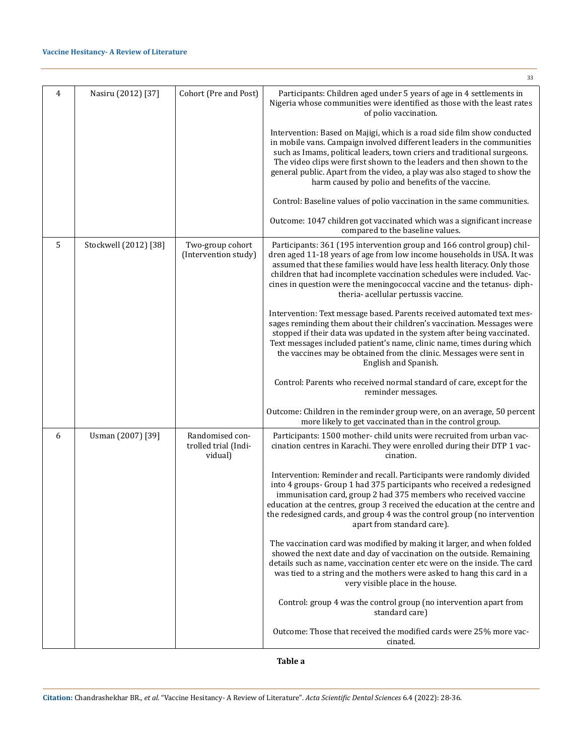|   |                       |                                                    | 33                                                                                                                                                                                                                                                                                                                                                                                                                                     |
|---|-----------------------|----------------------------------------------------|----------------------------------------------------------------------------------------------------------------------------------------------------------------------------------------------------------------------------------------------------------------------------------------------------------------------------------------------------------------------------------------------------------------------------------------|
| 4 | Nasiru (2012) [37]    | Cohort (Pre and Post)                              | Participants: Children aged under 5 years of age in 4 settlements in<br>Nigeria whose communities were identified as those with the least rates<br>of polio vaccination.                                                                                                                                                                                                                                                               |
|   |                       |                                                    | Intervention: Based on Majigi, which is a road side film show conducted<br>in mobile vans. Campaign involved different leaders in the communities<br>such as Imams, political leaders, town criers and traditional surgeons.<br>The video clips were first shown to the leaders and then shown to the<br>general public. Apart from the video, a play was also staged to show the<br>harm caused by polio and benefits of the vaccine. |
|   |                       |                                                    | Control: Baseline values of polio vaccination in the same communities.                                                                                                                                                                                                                                                                                                                                                                 |
|   |                       |                                                    | Outcome: 1047 children got vaccinated which was a significant increase<br>compared to the baseline values.                                                                                                                                                                                                                                                                                                                             |
| 5 | Stockwell (2012) [38] | Two-group cohort<br>(Intervention study)           | Participants: 361 (195 intervention group and 166 control group) chil-<br>dren aged 11-18 years of age from low income households in USA. It was<br>assumed that these families would have less health literacy. Only those<br>children that had incomplete vaccination schedules were included. Vac-<br>cines in question were the meningococcal vaccine and the tetanus- diph-<br>theria- acellular pertussis vaccine.               |
|   |                       |                                                    | Intervention: Text message based. Parents received automated text mes-<br>sages reminding them about their children's vaccination. Messages were<br>stopped if their data was updated in the system after being vaccinated.<br>Text messages included patient's name, clinic name, times during which<br>the vaccines may be obtained from the clinic. Messages were sent in<br>English and Spanish.                                   |
|   |                       |                                                    | Control: Parents who received normal standard of care, except for the<br>reminder messages.                                                                                                                                                                                                                                                                                                                                            |
|   |                       |                                                    | Outcome: Children in the reminder group were, on an average, 50 percent<br>more likely to get vaccinated than in the control group.                                                                                                                                                                                                                                                                                                    |
| 6 | Usman (2007) [39]     | Randomised con-<br>trolled trial (Indi-<br>vidual) | Participants: 1500 mother-child units were recruited from urban vac-<br>cination centres in Karachi. They were enrolled during their DTP 1 vac-<br>cination.                                                                                                                                                                                                                                                                           |
|   |                       |                                                    | Intervention: Reminder and recall. Participants were randomly divided<br>into 4 groups- Group 1 had 375 participants who received a redesigned<br>immunisation card, group 2 had 375 members who received vaccine<br>education at the centres, group 3 received the education at the centre and<br>the redesigned cards, and group 4 was the control group (no intervention<br>apart from standard care).                              |
|   |                       |                                                    | The vaccination card was modified by making it larger, and when folded<br>showed the next date and day of vaccination on the outside. Remaining<br>details such as name, vaccination center etc were on the inside. The card<br>was tied to a string and the mothers were asked to hang this card in a<br>very visible place in the house.                                                                                             |
|   |                       |                                                    | Control: group 4 was the control group (no intervention apart from<br>standard care)                                                                                                                                                                                                                                                                                                                                                   |
|   |                       |                                                    | Outcome: Those that received the modified cards were 25% more vac-<br>cinated.                                                                                                                                                                                                                                                                                                                                                         |

**Table a**

33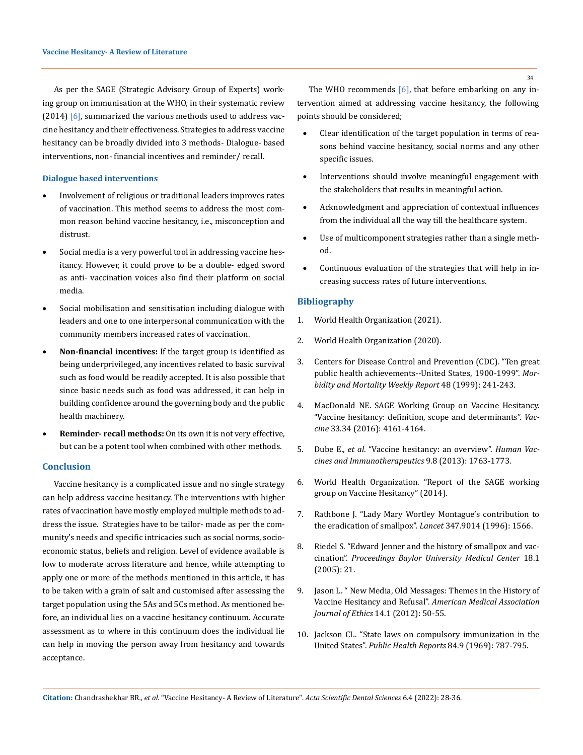As per the SAGE (Strategic Advisory Group of Experts) working group on immunisation at the WHO, in their systematic review  $(2014)$  [6], summarized the various methods used to address vaccine hesitancy and their effectiveness. Strategies to address vaccine hesitancy can be broadly divided into 3 methods- Dialogue- based interventions, non- financial incentives and reminder/ recall.

### **Dialogue based interventions**

- Involvement of religious or traditional leaders improves rates of vaccination. This method seems to address the most common reason behind vaccine hesitancy, i.e., misconception and distrust.
- • Social media is a very powerful tool in addressing vaccine hesitancy. However, it could prove to be a double- edged sword as anti- vaccination voices also find their platform on social media.
- • Social mobilisation and sensitisation including dialogue with leaders and one to one interpersonal communication with the community members increased rates of vaccination.
- • **Non-financial incentives:** If the target group is identified as being underprivileged, any incentives related to basic survival such as food would be readily accepted. It is also possible that since basic needs such as food was addressed, it can help in building confidence around the governing body and the public health machinery.
- Reminder- recall methods: On its own it is not very effective, but can be a potent tool when combined with other methods.

## **Conclusion**

Vaccine hesitancy is a complicated issue and no single strategy can help address vaccine hesitancy. The interventions with higher rates of vaccination have mostly employed multiple methods to address the issue. Strategies have to be tailor- made as per the community's needs and specific intricacies such as social norms, socioeconomic status, beliefs and religion. Level of evidence available is low to moderate across literature and hence, while attempting to apply one or more of the methods mentioned in this article, it has to be taken with a grain of salt and customised after assessing the target population using the 5As and 5Cs method. As mentioned before, an individual lies on a vaccine hesitancy continuum. Accurate assessment as to where in this continuum does the individual lie can help in moving the person away from hesitancy and towards acceptance.

The WHO recommends  $[6]$ , that before embarking on any intervention aimed at addressing vaccine hesitancy, the following points should be considered;

- Clear identification of the target population in terms of reasons behind vaccine hesitancy, social norms and any other specific issues.
- Interventions should involve meaningful engagement with the stakeholders that results in meaningful action.
- Acknowledgment and appreciation of contextual influences from the individual all the way till the healthcare system.
- Use of multicomponent strategies rather than a single method.
- Continuous evaluation of the strategies that will help in increasing success rates of future interventions.

#### **Bibliography**

- 1. World Health Organization (2021).
- 2. World Health Organization (2020).
- 3. [Centers for Disease Control and Prevention \(CDC\). "Ten great](https://www.cdc.gov/mmwr/preview/mmwrhtml/00056796.htm)  [public health achievements--United States, 1900-1999".](https://www.cdc.gov/mmwr/preview/mmwrhtml/00056796.htm) *Mor[bidity and Mortality Weekly Report](https://www.cdc.gov/mmwr/preview/mmwrhtml/00056796.htm)* 48 (1999): 241-243.
- 4. [MacDonald NE. SAGE Working Group on Vaccine Hesitancy.](https://pubmed.ncbi.nlm.nih.gov/25896383/)  ["Vaccine hesitancy: definition, scope and determinants".](https://pubmed.ncbi.nlm.nih.gov/25896383/) *Vaccine* [33.34 \(2016\): 4161-4164.](https://pubmed.ncbi.nlm.nih.gov/25896383/)
- 5. Dube E., *et al*[. "Vaccine hesitancy: an overview".](https://pubmed.ncbi.nlm.nih.gov/23584253/) *Human Vac[cines and Immunotherapeutics](https://pubmed.ncbi.nlm.nih.gov/23584253/)* 9.8 (2013): 1763-1773.
- 6. [World Health Organization. "Report of the SAGE working](https://www.who.int/immunization/sage/meetings/2014/october/1_Report_WORKING_GROUP_vaccine_hesitancy_final.pdf)  [group on Vaccine Hesitancy" \(2014\).](https://www.who.int/immunization/sage/meetings/2014/october/1_Report_WORKING_GROUP_vaccine_hesitancy_final.pdf)
- 7. [Rathbone J. "Lady Mary Wortley Montague's contribution to](https://pubmed.ncbi.nlm.nih.gov/8684145/) [the eradication of smallpox".](https://pubmed.ncbi.nlm.nih.gov/8684145/) *Lancet* 347.9014 (1996): 1566.
- 8. [Riedel S. "Edward Jenner and the history of smallpox and vac](https://www.ncbi.nlm.nih.gov/pmc/articles/PMC1200696/)cination". *[Proceedings Baylor University Medical Center](https://www.ncbi.nlm.nih.gov/pmc/articles/PMC1200696/)* 18.1 [\(2005\): 21.](https://www.ncbi.nlm.nih.gov/pmc/articles/PMC1200696/)
- 9. [Jason L. " New Media, Old Messages: Themes in the History of](https://pubmed.ncbi.nlm.nih.gov/23116917/)  Vaccine Hesitancy and Refusal". *[American Medical Association](https://pubmed.ncbi.nlm.nih.gov/23116917/) [Journal of Ethics](https://pubmed.ncbi.nlm.nih.gov/23116917/)* 14.1 (2012): 50-55.
- 10. [Jackson CL. "State laws on compulsory immunization in the](https://pubmed.ncbi.nlm.nih.gov/4979879/) United States". *[Public Health Reports](https://pubmed.ncbi.nlm.nih.gov/4979879/)* 84.9 (1969): 787-795.

**Citation:** Chandrashekhar BR*., et al.* "Vaccine Hesitancy- A Review of Literature". *Acta Scientific Dental Sciences* 6.4 (2022): 28-36.

34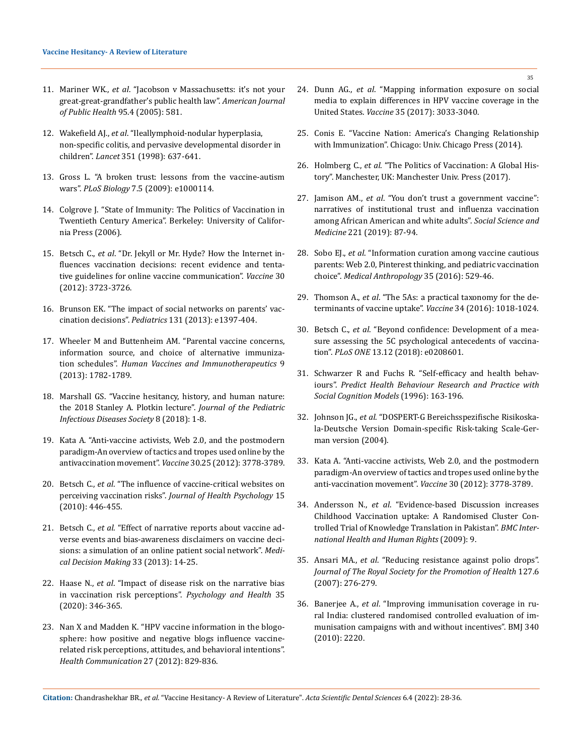- 11. Mariner WK., *et al*[. "Jacobson v Massachusetts: it's not your](https://www.ncbi.nlm.nih.gov/pmc/articles/PMC1449224/)  [great-great-grandfather's public health law".](https://www.ncbi.nlm.nih.gov/pmc/articles/PMC1449224/) *American Journal [of Public Health](https://www.ncbi.nlm.nih.gov/pmc/articles/PMC1449224/)* 95.4 (2005): 581.
- 12. Wakefield AJ., *et al*[. "Ileallymphoid-nodular hyperplasia,](https://pubmed.ncbi.nlm.nih.gov/9500320/)  [non-specific colitis, and pervasive developmental disorder in](https://pubmed.ncbi.nlm.nih.gov/9500320/)  children". *Lancet* [351 \(1998\): 637-641.](https://pubmed.ncbi.nlm.nih.gov/9500320/)
- 13. [Gross L. "A broken trust: lessons from the vaccine-autism](https://www.ncbi.nlm.nih.gov/pmc/articles/PMC2682483/)  wars". *PLoS Biology* [7.5 \(2009\): e1000114.](https://www.ncbi.nlm.nih.gov/pmc/articles/PMC2682483/)
- 14. [Colgrove J. "State of Immunity: The Politics of Vaccination in](https://www.ncbi.nlm.nih.gov/pmc/articles/PMC1857257/)  [Twentieth Century America". Berkeley: University of Califor](https://www.ncbi.nlm.nih.gov/pmc/articles/PMC1857257/)[nia Press \(2006\).](https://www.ncbi.nlm.nih.gov/pmc/articles/PMC1857257/)
- 15. Betsch C., *et al*[. "Dr. Jekyll or Mr. Hyde? How the Internet in](https://pubmed.ncbi.nlm.nih.gov/22472790/)[fluences vaccination decisions: recent evidence and tenta](https://pubmed.ncbi.nlm.nih.gov/22472790/)[tive guidelines for online vaccine communication".](https://pubmed.ncbi.nlm.nih.gov/22472790/) *Vaccine* 30 [\(2012\): 3723-3726.](https://pubmed.ncbi.nlm.nih.gov/22472790/)
- 16. [Brunson EK. "The impact of social networks on parents' vac](https://pubmed.ncbi.nlm.nih.gov/23589813/)cination decisions". *Pediatrics* [131 \(2013\): e1397-404.](https://pubmed.ncbi.nlm.nih.gov/23589813/)
- 17. [Wheeler M and Buttenheim AM. "Parental vaccine concerns,](https://pubmed.ncbi.nlm.nih.gov/23900266/)  [information source, and choice of alternative immuniza](https://pubmed.ncbi.nlm.nih.gov/23900266/)tion schedules". *[Human Vaccines and Immunotherapeutics](https://pubmed.ncbi.nlm.nih.gov/23900266/)* 9 [\(2013\): 1782-1789.](https://pubmed.ncbi.nlm.nih.gov/23900266/)
- 18. [Marshall GS. "Vaccine hesitancy, history, and human nature:](https://pubmed.ncbi.nlm.nih.gov/33513237/)  [the 2018 Stanley A. Plotkin lecture".](https://pubmed.ncbi.nlm.nih.gov/33513237/) *Journal of the Pediatric [Infectious Diseases Society](https://pubmed.ncbi.nlm.nih.gov/33513237/)* 8 (2018): 1-8.
- 19. [Kata A. "Anti-vaccine activists, Web 2.0, and the postmodern](https://pubmed.ncbi.nlm.nih.gov/22172504/)  [paradigm-An overview of tactics and tropes used online by the](https://pubmed.ncbi.nlm.nih.gov/22172504/)  [antivaccination movement".](https://pubmed.ncbi.nlm.nih.gov/22172504/) *Vaccine* 30.25 (2012): 3778-3789.
- 20. Betsch C., *et al*[. "The influence of vaccine-critical websites on](https://pubmed.ncbi.nlm.nih.gov/20348365/)  perceiving vaccination risks". *[Journal of Health Psychology](https://pubmed.ncbi.nlm.nih.gov/20348365/)* 15 [\(2010\): 446-455.](https://pubmed.ncbi.nlm.nih.gov/20348365/)
- 21. Betsch C., *et al*[. "Effect of narrative reports about vaccine ad](https://pubmed.ncbi.nlm.nih.gov/22875721/)[verse events and bias-awareness disclaimers on vaccine deci](https://pubmed.ncbi.nlm.nih.gov/22875721/)[sions: a simulation of an online patient social network".](https://pubmed.ncbi.nlm.nih.gov/22875721/) *Medi[cal Decision Making](https://pubmed.ncbi.nlm.nih.gov/22875721/)* 33 (2013): 14-25.
- 22. Haase N., *et al*[. "Impact of disease risk on the narrative bias](https://pubmed.ncbi.nlm.nih.gov/31480866/)  [in vaccination risk perceptions".](https://pubmed.ncbi.nlm.nih.gov/31480866/) *Psychology and Health* 35 [\(2020\): 346-365.](https://pubmed.ncbi.nlm.nih.gov/31480866/)
- 23. [Nan X and Madden K. "HPV vaccine information in the blogo](https://pubmed.ncbi.nlm.nih.gov/22452582/)[sphere: how positive and negative blogs influence vaccine](https://pubmed.ncbi.nlm.nih.gov/22452582/)[related risk perceptions, attitudes, and behavioral intentions".](https://pubmed.ncbi.nlm.nih.gov/22452582/)  *[Health Communication](https://pubmed.ncbi.nlm.nih.gov/22452582/)* 27 (2012): 829-836.
- 24. Dunn AG., *et al*[. "Mapping information exposure on social](https://pubmed.ncbi.nlm.nih.gov/28461067/)  [media to explain differences in HPV vaccine coverage in the](https://pubmed.ncbi.nlm.nih.gov/28461067/)  United States. *Vaccine* [35 \(2017\): 3033-3040.](https://pubmed.ncbi.nlm.nih.gov/28461067/)
- 25. Conis E. "Vaccine Nation: America's Changing Relationship with Immunization". Chicago: Univ. Chicago Press (2014).
- 26. Holmberg C., *et al*[. "The Politics of Vaccination: A Global His](https://www.jstor.org/stable/j.ctt1wn0s1m)[tory". Manchester, UK: Manchester Univ. Press \(2017\).](https://www.jstor.org/stable/j.ctt1wn0s1m)
- 27. Jamison AM., *et al*[. "You don't trust a government vaccine":](https://pubmed.ncbi.nlm.nih.gov/30576982/)  [narratives of institutional trust and influenza vaccination](https://pubmed.ncbi.nlm.nih.gov/30576982/)  [among African American and white adults".](https://pubmed.ncbi.nlm.nih.gov/30576982/) *Social Science and Medicine* [221 \(2019\): 87-94.](https://pubmed.ncbi.nlm.nih.gov/30576982/)
- 28. Sobo EJ., *et al*[. "Information curation among vaccine cautious](https://pubmed.ncbi.nlm.nih.gov/26814029/)  [parents: Web 2.0, Pinterest thinking, and pediatric vaccination](https://pubmed.ncbi.nlm.nih.gov/26814029/)  choice". *[Medical Anthropology](https://pubmed.ncbi.nlm.nih.gov/26814029/)* 35 (2016): 529-46.
- 29. Thomson A., *et al*[. "The 5As: a practical taxonomy for the de](https://pubmed.ncbi.nlm.nih.gov/26672676/)[terminants of vaccine uptake".](https://pubmed.ncbi.nlm.nih.gov/26672676/) *Vaccine* 34 (2016): 1018-1024.
- 30. Betsch C., *et al*[. "Beyond confidence: Development of a mea](https://journals.plos.org/plosone/article?id=10.1371/journal.pone.0208601)[sure assessing the 5C psychological antecedents of vaccina](https://journals.plos.org/plosone/article?id=10.1371/journal.pone.0208601)tion". *PLoS ONE* [13.12 \(2018\): e0208601.](https://journals.plos.org/plosone/article?id=10.1371/journal.pone.0208601)
- 31. [Schwarzer R and Fuchs R. "Self-efficacy and health behav](https://userpage.fu-berlin.de/gesund/publicat/conner9.htm)iours". *[Predict Health Behaviour Research and Practice with](https://userpage.fu-berlin.de/gesund/publicat/conner9.htm)  [Social Cognition Models](https://userpage.fu-berlin.de/gesund/publicat/conner9.htm)* (1996): 163-196.
- 32. Johnson JG., *et al*. "DOSPERT-G Bereichsspezifische Risikoskala-Deutsche Version Domain-specific Risk-taking Scale-German version (2004).
- 33. [Kata A. "Anti-vaccine activists, Web 2.0, and the postmodern](https://www.sciencedirect.com/science/article/pii/S0264410X11019086)  [paradigm-An overview of tactics and tropes used online by the](https://www.sciencedirect.com/science/article/pii/S0264410X11019086)  [anti-vaccination movement".](https://www.sciencedirect.com/science/article/pii/S0264410X11019086) *Vaccine* 30 (2012): 3778-3789.
- 34. Andersson N., *et al*[. "Evidence-based Discussion increases](https://bmcinthealthhumrights.biomedcentral.com/articles/10.1186/1472-698X-9-S1-S8)  [Childhood Vaccination uptake: A Randomised Cluster Con](https://bmcinthealthhumrights.biomedcentral.com/articles/10.1186/1472-698X-9-S1-S8)[trolled Trial of Knowledge Translation in Pakistan".](https://bmcinthealthhumrights.biomedcentral.com/articles/10.1186/1472-698X-9-S1-S8) *BMC Inter[national Health and Human Rights](https://bmcinthealthhumrights.biomedcentral.com/articles/10.1186/1472-698X-9-S1-S8)* (2009): 9.
- 35. Ansari MA., *et al*[. "Reducing resistance against polio drops".](https://pubmed.ncbi.nlm.nih.gov/18085073/)  *[Journal of The Royal Society for the Promotion of Health](https://pubmed.ncbi.nlm.nih.gov/18085073/)* 127.6 [\(2007\): 276-279.](https://pubmed.ncbi.nlm.nih.gov/18085073/)
- 36. Banerjee A., *et al*[. "Improving immunisation coverage in ru](https://pubmed.ncbi.nlm.nih.gov/20478960/)[ral India: clustered randomised controlled evaluation of im](https://pubmed.ncbi.nlm.nih.gov/20478960/)[munisation campaigns with and without incentives". BMJ 340](https://pubmed.ncbi.nlm.nih.gov/20478960/)  [\(2010\): 2220.](https://pubmed.ncbi.nlm.nih.gov/20478960/)